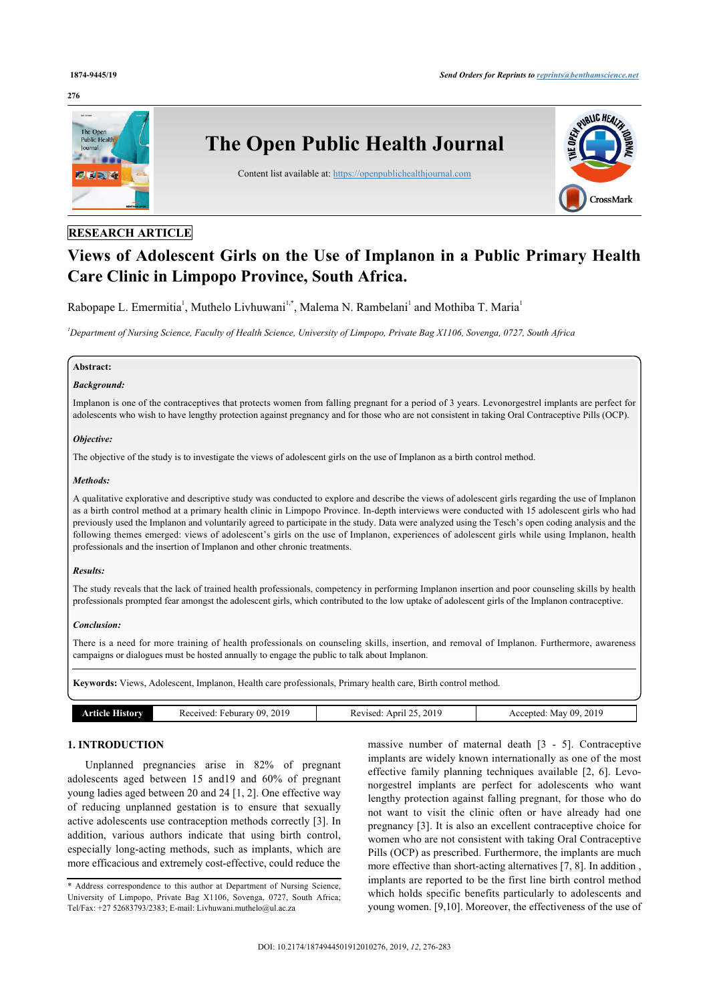#### **276**



## **RESEARCH ARTICLE**

# **Views of Adolescent Girls on the Use of Implanon in a Public Primary Health Care Clinic in Limpopo Province, South Africa.**

Rabopape L. Emermitia<sup>[1](#page--1-0)</sup>, Muthelo Livhuwani<sup>[1,](#page--1-0)[\\*](#page-0-0)</sup>, Malema N. Rambelani<sup>1</sup> and Mothiba T. Maria<sup>1</sup>

*<sup>1</sup>Department of Nursing Science, Faculty of Health Science, University of Limpopo, Private Bag X1106, Sovenga, 0727, South Africa*

### **Abstract:**

## *Background:*

Implanon is one of the contraceptives that protects women from falling pregnant for a period of 3 years. Levonorgestrel implants are perfect for adolescents who wish to have lengthy protection against pregnancy and for those who are not consistent in taking Oral Contraceptive Pills (OCP).

## *Objective:*

The objective of the study is to investigate the views of adolescent girls on the use of Implanon as a birth control method.

#### *Methods:*

A qualitative explorative and descriptive study was conducted to explore and describe the views of adolescent girls regarding the use of Implanon as a birth control method at a primary health clinic in Limpopo Province. In-depth interviews were conducted with 15 adolescent girls who had previously used the Implanon and voluntarily agreed to participate in the study. Data were analyzed using the Tesch's open coding analysis and the following themes emerged: views of adolescent's girls on the use of Implanon, experiences of adolescent girls while using Implanon, health professionals and the insertion of Implanon and other chronic treatments.

#### *Results:*

The study reveals that the lack of trained health professionals, competency in performing Implanon insertion and poor counseling skills by health professionals prompted fear amongst the adolescent girls, which contributed to the low uptake of adolescent girls of the Implanon contraceptive.

#### *Conclusion:*

There is a need for more training of health professionals on counseling skills, insertion, and removal of Implanon. Furthermore, awareness campaigns or dialogues must be hosted annually to engage the public to talk about Implanon.

**Keywords:** Views, Adolescent, Implanon, Health care professionals, Primary health care, Birth control method.

| mr<br>10 1 0 | 2019<br>- 114<br>Received<br>eburary | 2019<br>$"$ nru $"$<br>evised: | 2019<br>$00 -$<br>urenter.<br>Mav |
|--------------|--------------------------------------|--------------------------------|-----------------------------------|
|              |                                      |                                |                                   |

## **1. INTRODUCTION**

Unplanned pregnancies arise in 82% of pregnant adolescents aged between 15 and19 and 60% of pregnant young ladies aged between 20 and 24 [\[1,](#page-6-0) [2](#page-6-1)]. One effective way of reducing unplanned gestation is to ensure that sexually active adolescents use contraception methods correctly [[3\]](#page-6-2). In addition, various authors indicate that using birth control, especially long-acting methods, such as implants, which are more efficacious and extremely cost-effective, could reduce the

massive number of maternal death [\[3](#page-6-2) - [5\]](#page-6-3). Contraceptive implants are widely known internationally as one of the most effective family planning techniques available [\[2,](#page-6-1) [6\]](#page-6-4). Levonorgestrel implants are perfect for adolescents who want lengthy protection against falling pregnant, for those who do not want to visit the clinic often or have already had one pregnancy [\[3\]](#page-6-2). It is also an excellent contraceptive choice for women who are not consistent with taking Oral Contraceptive Pills (OCP) as prescribed. Furthermore, the implants are much more effective than short-acting alternatives [[7](#page-6-5), [8](#page-6-6)]. In addition , implants are reported to be the first line birth control method which holds specific benefits particularly to adolescents and young women. [[9](#page-6-7),[10\]](#page-6-8). Moreover, the effectiveness of the use of

<span id="page-0-0"></span><sup>\*</sup> Address correspondence to this author at Department of Nursing Science, University of Limpopo, Private Bag X1106, Sovenga, 0727, South Africa; Tel/Fax: +27 52683793/2383; E-mail: [Livhuwani.muthelo@ul.ac.za](mailto:Livhuwani.muthelo@ul.ac.za)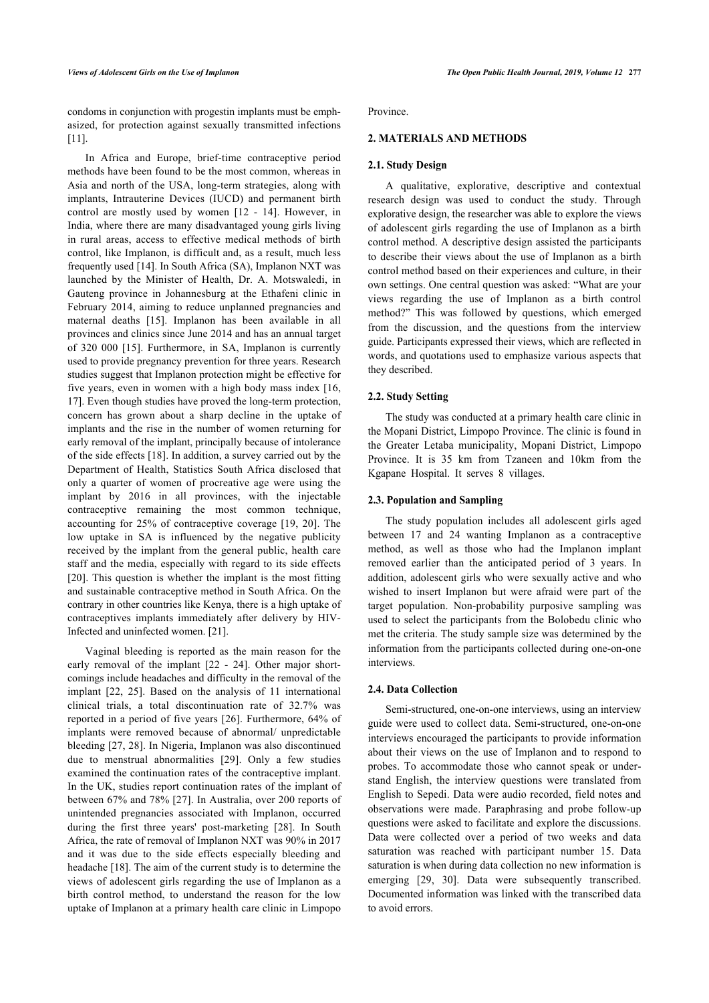condoms in conjunction with progestin implants must be emphasized, for protection against sexually transmitted infections [[11\]](#page-6-9).

In Africa and Europe, brief-time contraceptive period methods have been found to be the most common, whereas in Asia and north of the USA, long-term strategies, along with implants, Intrauterine Devices (IUCD) and permanent birth control are mostly used by women[[12](#page-6-10) - [14\]](#page-6-11). However, in India, where there are many disadvantaged young girls living in rural areas, access to effective medical methods of birth control, like Implanon, is difficult and, as a result, much less frequently used [[14\]](#page-6-11). In South Africa (SA), Implanon NXT was launched by the Minister of Health, Dr. A. Motswaledi, in Gauteng province in Johannesburg at the Ethafeni clinic in February 2014, aiming to reduce unplanned pregnancies and maternal deaths[[15](#page-6-12)]. Implanon has been available in all provinces and clinics since June 2014 and has an annual target of 320 000[[15\]](#page-6-12). Furthermore, in SA, Implanon is currently used to provide pregnancy prevention for three years. Research studies suggest that Implanon protection might be effective for five years, even in women with a high body mass index [[16](#page-6-13), [17\]](#page-6-14). Even though studies have proved the long-term protection, concern has grown about a sharp decline in the uptake of implants and the rise in the number of women returning for early removal of the implant, principally because of intolerance of the side effects [\[18](#page-6-15)]. In addition, a survey carried out by the Department of Health, Statistics South Africa disclosed that only a quarter of women of procreative age were using the implant by 2016 in all provinces, with the injectable contraceptive remaining the most common technique, accounting for 25% of contraceptive coverage [[19](#page-6-16), [20](#page-6-17)]. The low uptake in SA is influenced by the negative publicity received by the implant from the general public, health care staff and the media, especially with regard to its side effects [[20\]](#page-6-17). This question is whether the implant is the most fitting and sustainable contraceptive method in South Africa. On the contrary in other countries like Kenya, there is a high uptake of contraceptives implants immediately after delivery by HIV-Infected and uninfected women. [[21\]](#page-6-18).

Vaginal bleeding is reported as the main reason for the early removal of the implant[[22](#page-6-19) - [24\]](#page-6-20). Other major shortcomings include headaches and difficulty in the removal of the implant[[22](#page-6-19), [25\]](#page-6-21). Based on the analysis of 11 international clinical trials, a total discontinuation rate of 32.7% was reported in a period of five years [\[26](#page-6-22)]. Furthermore, 64% of implants were removed because of abnormal/ unpredictable bleeding [[27](#page-6-23), [28](#page-6-24)]. In Nigeria, Implanon was also discontinued due to menstrual abnormalities [\[29\]](#page-6-25). Only a few studies examined the continuation rates of the contraceptive implant. In the UK, studies report continuation rates of the implant of between 67% and 78% [[27](#page-6-23)]. In Australia, over 200 reports of unintended pregnancies associated with Implanon, occurred during the first three years' post-marketing [\[28\]](#page-6-24). In South Africa, the rate of removal of Implanon NXT was 90% in 2017 and it was due to the side effects especially bleeding and headache [[18\]](#page-6-15). The aim of the current study is to determine the views of adolescent girls regarding the use of Implanon as a birth control method, to understand the reason for the low uptake of Implanon at a primary health care clinic in Limpopo Province.

## **2. MATERIALS AND METHODS**

## **2.1. Study Design**

A qualitative, explorative, descriptive and contextual research design was used to conduct the study. Through explorative design, the researcher was able to explore the views of adolescent girls regarding the use of Implanon as a birth control method. A descriptive design assisted the participants to describe their views about the use of Implanon as a birth control method based on their experiences and culture, in their own settings. One central question was asked: "What are your views regarding the use of Implanon as a birth control method?" This was followed by questions, which emerged from the discussion, and the questions from the interview guide. Participants expressed their views, which are reflected in words, and quotations used to emphasize various aspects that they described.

#### **2.2. Study Setting**

The study was conducted at a primary health care clinic in the Mopani District, Limpopo Province. The clinic is found in the Greater Letaba municipality, Mopani District, Limpopo Province. It is 35 km from Tzaneen and 10km from the Kgapane Hospital. It serves 8 villages.

## **2.3. Population and Sampling**

The study population includes all adolescent girls aged between 17 and 24 wanting Implanon as a contraceptive method, as well as those who had the Implanon implant removed earlier than the anticipated period of 3 years. In addition, adolescent girls who were sexually active and who wished to insert Implanon but were afraid were part of the target population. Non-probability purposive sampling was used to select the participants from the Bolobedu clinic who met the criteria. The study sample size was determined by the information from the participants collected during one-on-one interviews.

#### **2.4. Data Collection**

Semi-structured, one-on-one interviews, using an interview guide were used to collect data. Semi-structured, one-on-one interviews encouraged the participants to provide information about their views on the use of Implanon and to respond to probes. To accommodate those who cannot speak or understand English, the interview questions were translated from English to Sepedi. Data were audio recorded, field notes and observations were made. Paraphrasing and probe follow-up questions were asked to facilitate and explore the discussions. Data were collected over a period of two weeks and data saturation was reached with participant number 15. Data saturation is when during data collection no new information is emerging [\[29,](#page-6-25) [30\]](#page-6-26). Data were subsequently transcribed. Documented information was linked with the transcribed data to avoid errors.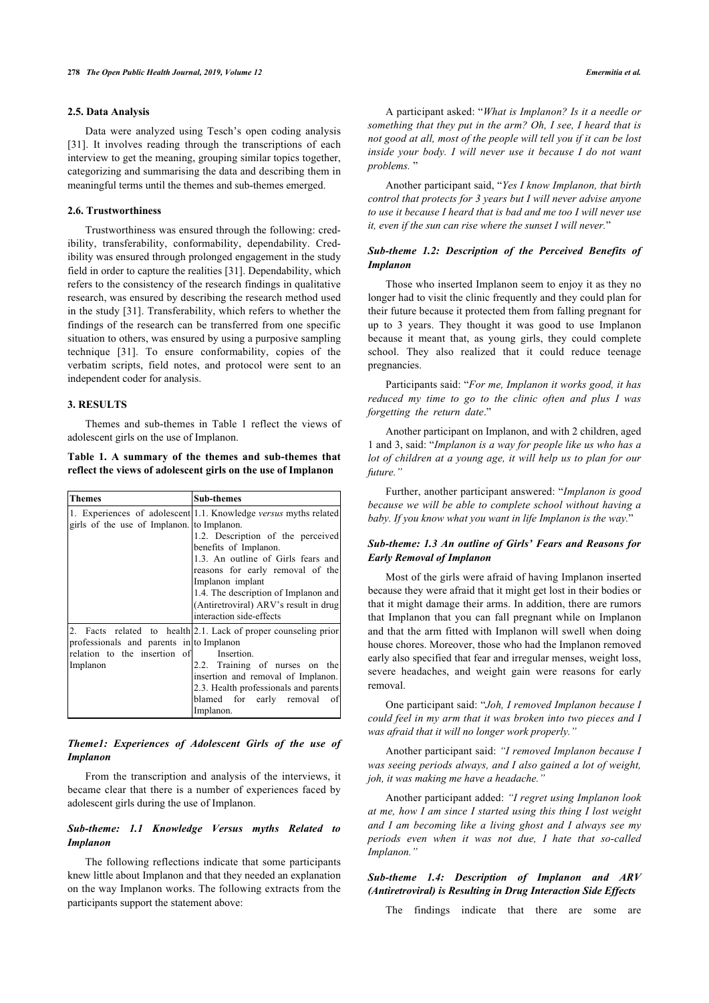#### **2.5. Data Analysis**

Data were analyzed using Tesch's open coding analysis [[31\]](#page-6-27). It involves reading through the transcriptions of each interview to get the meaning, grouping similar topics together, categorizing and summarising the data and describing them in meaningful terms until the themes and sub-themes emerged.

## **2.6. Trustworthiness**

Trustworthiness was ensured through the following: credibility, transferability, conformability, dependability. Credibility was ensured through prolonged engagement in the study field in order to capture the realities [[31\]](#page-6-27). Dependability, which refers to the consistency of the research findings in qualitative research, was ensured by describing the research method used in the study [\[31\]](#page-6-27). Transferability, which refers to whether the findings of the research can be transferred from one specific situation to others, was ensured by using a purposive sampling technique[[31\]](#page-6-27). To ensure conformability, copies of the verbatim scripts, field notes, and protocol were sent to an independent coder for analysis.

## **3. RESULTS**

Themes and sub-themes in Table [1](#page-2-0) reflect the views of adolescent girls on the use of Implanon.

<span id="page-2-0"></span>**Table 1. A summary of the themes and sub-themes that reflect the views of adolescent girls on the use of Implanon**

| <b>Themes</b>                                                                        | <b>Sub-themes</b>                                                                                                                                                                                                                                                                                                                         |  |
|--------------------------------------------------------------------------------------|-------------------------------------------------------------------------------------------------------------------------------------------------------------------------------------------------------------------------------------------------------------------------------------------------------------------------------------------|--|
| girls of the use of Implanon. to Implanon.                                           | 1. Experiences of adolescent 1.1. Knowledge versus myths related<br>1.2. Description of the perceived<br>benefits of Implanon.<br>1.3. An outline of Girls fears and<br>reasons for early removal of the<br>Implanon implant<br>1.4. The description of Implanon and<br>(Antiretroviral) ARV's result in drug<br>interaction side-effects |  |
| professionals and parents in to Implanon<br>relation to the insertion of<br>Implanon | 2. Facts related to health 2.1. Lack of proper counseling prior<br>Insertion.<br>2.2. Training of nurses on the<br>insertion and removal of Implanon.<br>2.3. Health professionals and parents<br>blamed for early removal of<br>Implanon.                                                                                                |  |

## *Theme1: Experiences of Adolescent Girls of the use of Implanon*

From the transcription and analysis of the interviews, it became clear that there is a number of experiences faced by adolescent girls during the use of Implanon.

## *Sub-theme: 1.1 Knowledge Versus myths Related to Implanon*

The following reflections indicate that some participants knew little about Implanon and that they needed an explanation on the way Implanon works. The following extracts from the participants support the statement above:

A participant asked: "*What is Implanon? Is it a needle or something that they put in the arm? Oh, I see, I heard that is not good at all, most of the people will tell you if it can be lost inside your body. I will never use it because I do not want problems.* "

Another participant said, "*Yes I know Implanon, that birth control that protects for 3 years but I will never advise anyone to use it because I heard that is bad and me too I will never use it, even if the sun can rise where the sunset I will never.*"

## *Sub-theme 1.2: Description of the Perceived Benefits of Implanon*

Those who inserted Implanon seem to enjoy it as they no longer had to visit the clinic frequently and they could plan for their future because it protected them from falling pregnant for up to 3 years. They thought it was good to use Implanon because it meant that, as young girls, they could complete school. They also realized that it could reduce teenage pregnancies.

Participants said: "*For me, Implanon it works good, it has reduced my time to go to the clinic often and plus I was forgetting the return date*."

Another participant on Implanon, and with 2 children, aged 1 and 3, said: "*Implanon is a way for people like us who has a lot of children at a young age, it will help us to plan for our future."*

Further, another participant answered: "*Implanon is good because we will be able to complete school without having a baby. If you know what you want in life Implanon is the way.*"

## *Sub-theme: 1.3 An outline of Girls' Fears and Reasons for Early Removal of Implanon*

Most of the girls were afraid of having Implanon inserted because they were afraid that it might get lost in their bodies or that it might damage their arms. In addition, there are rumors that Implanon that you can fall pregnant while on Implanon and that the arm fitted with Implanon will swell when doing house chores. Moreover, those who had the Implanon removed early also specified that fear and irregular menses, weight loss, severe headaches, and weight gain were reasons for early removal.

One participant said: "*Joh, I removed Implanon because I could feel in my arm that it was broken into two pieces and I was afraid that it will no longer work properly."*

Another participant said: *"I removed Implanon because I was seeing periods always, and I also gained a lot of weight, joh, it was making me have a headache."*

Another participant added: *"I regret using Implanon look at me, how I am since I started using this thing I lost weight and I am becoming like a living ghost and I always see my periods even when it was not due, I hate that so-called Implanon."*

## *Sub-theme 1.4: Description of Implanon and ARV (Antiretroviral) is Resulting in Drug Interaction Side Effects*

The findings indicate that there are some are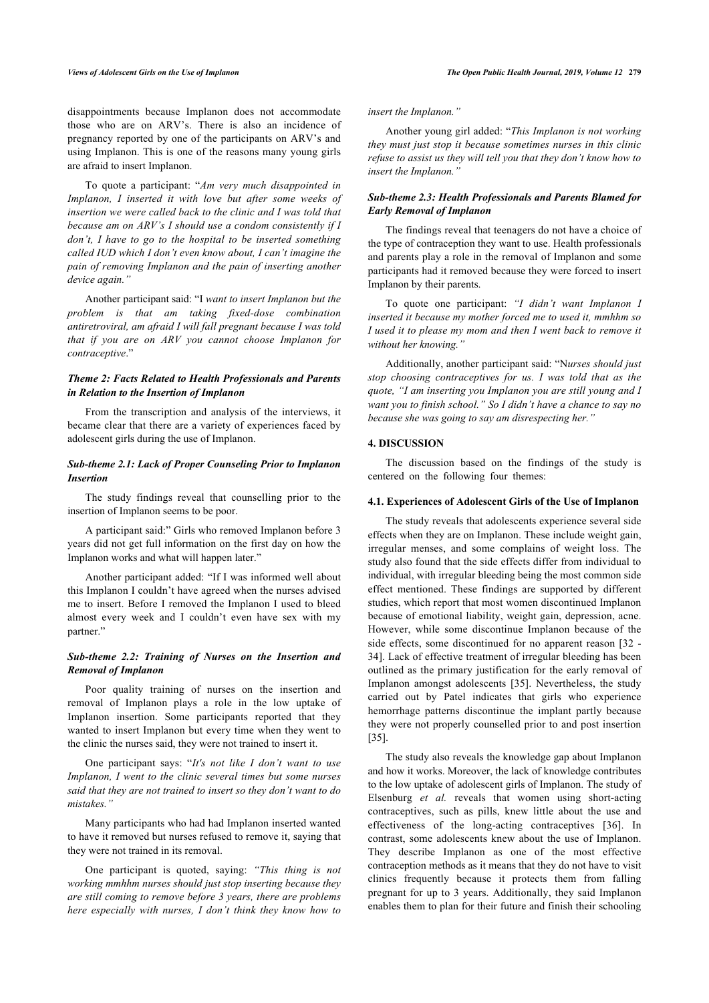disappointments because Implanon does not accommodate those who are on ARV's. There is also an incidence of pregnancy reported by one of the participants on ARV's and using Implanon. This is one of the reasons many young girls are afraid to insert Implanon.

To quote a participant: "*Am very much disappointed in Implanon, I inserted it with love but after some weeks of insertion we were called back to the clinic and I was told that because am on ARV's I should use a condom consistently if I don't, I have to go to the hospital to be inserted something called IUD which I don't even know about, I can't imagine the pain of removing Implanon and the pain of inserting another device again."*

Another participant said: "I *want to insert Implanon but the problem is that am taking fixed-dose combination antiretroviral, am afraid I will fall pregnant because I was told that if you are on ARV you cannot choose Implanon for contraceptive*."

## *Theme 2: Facts Related to Health Professionals and Parents in Relation to the Insertion of Implanon*

From the transcription and analysis of the interviews, it became clear that there are a variety of experiences faced by adolescent girls during the use of Implanon.

## *Sub-theme 2.1: Lack of Proper Counseling Prior to Implanon Insertion*

The study findings reveal that counselling prior to the insertion of Implanon seems to be poor.

A participant said:" Girls who removed Implanon before 3 years did not get full information on the first day on how the Implanon works and what will happen later."

Another participant added: "If I was informed well about this Implanon I couldn't have agreed when the nurses advised me to insert. Before I removed the Implanon I used to bleed almost every week and I couldn't even have sex with my partner."

## *Sub-theme 2.2: Training of Nurses on the Insertion and Removal of Implanon*

Poor quality training of nurses on the insertion and removal of Implanon plays a role in the low uptake of Implanon insertion. Some participants reported that they wanted to insert Implanon but every time when they went to the clinic the nurses said, they were not trained to insert it.

One participant says: "*It's not like I don't want to use Implanon, I went to the clinic several times but some nurses said that they are not trained to insert so they don't want to do mistakes."*

Many participants who had had Implanon inserted wanted to have it removed but nurses refused to remove it, saying that they were not trained in its removal.

One participant is quoted, saying: *"This thing is not working mmhhm nurses should just stop inserting because they are still coming to remove before 3 years, there are problems here especially with nurses, I don't think they know how to*

*insert the Implanon."*

Another young girl added: "*This Implanon is not working they must just stop it because sometimes nurses in this clinic refuse to assist us they will tell you that they don't know how to insert the Implanon."*

## *Sub-theme 2.3: Health Professionals and Parents Blamed for Early Removal of Implanon*

The findings reveal that teenagers do not have a choice of the type of contraception they want to use. Health professionals and parents play a role in the removal of Implanon and some participants had it removed because they were forced to insert Implanon by their parents.

To quote one participant: *"I didn't want Implanon I inserted it because my mother forced me to used it, mmhhm so I used it to please my mom and then I went back to remove it without her knowing."*

Additionally, another participant said: "N*urses should just stop choosing contraceptives for us. I was told that as the quote, "I am inserting you Implanon you are still young and I want you to finish school." So I didn't have a chance to say no because she was going to say am disrespecting her."*

## **4. DISCUSSION**

The discussion based on the findings of the study is centered on the following four themes:

#### **4.1. Experiences of Adolescent Girls of the Use of Implanon**

The study reveals that adolescents experience several side effects when they are on Implanon. These include weight gain, irregular menses, and some complains of weight loss. The study also found that the side effects differ from individual to individual, with irregular bleeding being the most common side effect mentioned. These findings are supported by different studies, which report that most women discontinued Implanon because of emotional liability, weight gain, depression, acne. However, while some discontinue Implanon because of the side effects, some discontinued for no apparent reason [[32](#page-6-28) - [34](#page-6-29)]. Lack of effective treatment of irregular bleeding has been outlined as the primary justification for the early removal of Implanon amongst adolescents[[35](#page-6-30)]. Nevertheless, the study carried out by Patel indicates that girls who experience hemorrhage patterns discontinue the implant partly because they were not properly counselled prior to and post insertion [[35\]](#page-6-30).

The study also reveals the knowledge gap about Implanon and how it works. Moreover, the lack of knowledge contributes to the low uptake of adolescent girls of Implanon. The study of Elsenburg *et al.* reveals that women using short-acting contraceptives, such as pills, knew little about the use and effectiveness of the long-acting contraceptives [\[36\]](#page-6-31). In contrast, some adolescents knew about the use of Implanon. They describe Implanon as one of the most effective contraception methods as it means that they do not have to visit clinics frequently because it protects them from falling pregnant for up to 3 years. Additionally, they said Implanon enables them to plan for their future and finish their schooling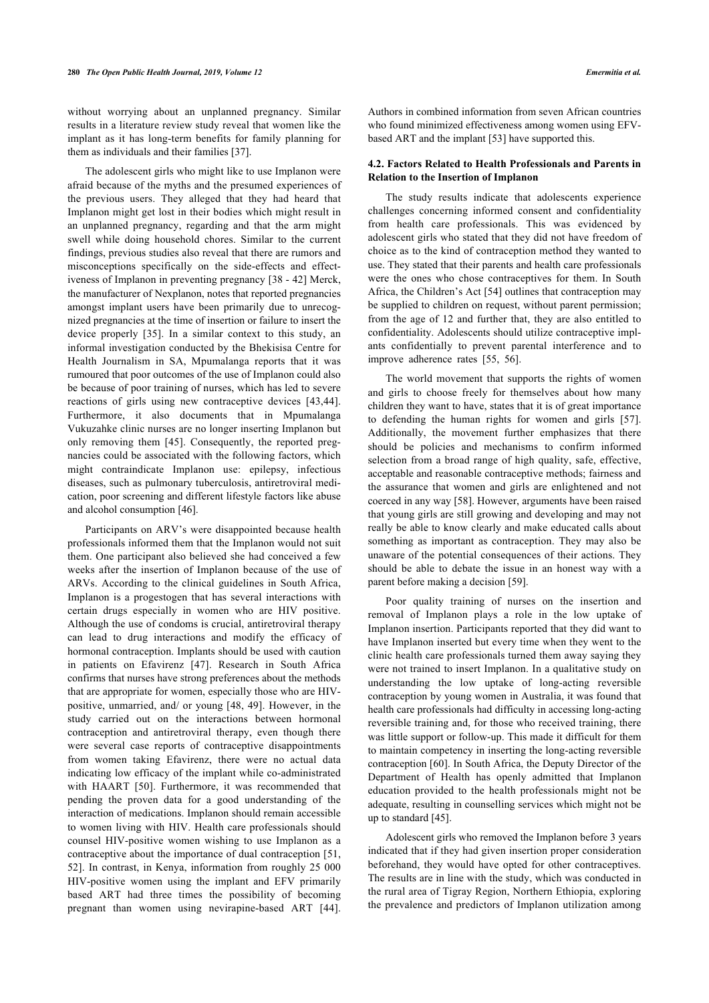without worrying about an unplanned pregnancy. Similar results in a literature review study reveal that women like the implant as it has long-term benefits for family planning for them as individuals and their families [\[37](#page-6-32)].

The adolescent girls who might like to use Implanon were afraid because of the myths and the presumed experiences of the previous users. They alleged that they had heard that Implanon might get lost in their bodies which might result in an unplanned pregnancy, regarding and that the arm might swell while doing household chores. Similar to the current findings, previous studies also reveal that there are rumors and misconceptions specifically on the side-effects and effectiveness of Implanon in preventing pregnancy [\[38](#page-6-33) - [42\]](#page-7-0) Merck, the manufacturer of Nexplanon, notes that reported pregnancies amongst implant users have been primarily due to unrecognized pregnancies at the time of insertion or failure to insert the device properly [\[35](#page-6-30)]. In a similar context to this study, an informal investigation conducted by the Bhekisisa Centre for Health Journalism in SA, Mpumalanga reports that it was rumoured that poor outcomes of the use of Implanon could also be because of poor training of nurses, which has led to severe reactions of girls using new contraceptive devices [\[43](#page-7-1),[44\]](#page-7-2). Furthermore, it also documents that in Mpumalanga Vukuzahke clinic nurses are no longer inserting Implanon but only removing them[[45\]](#page-7-3). Consequently, the reported pregnancies could be associated with the following factors, which might contraindicate Implanon use: epilepsy, infectious diseases, such as pulmonary tuberculosis, antiretroviral medication, poor screening and different lifestyle factors like abuse and alcohol consumption [\[46](#page-7-4)].

Participants on ARV's were disappointed because health professionals informed them that the Implanon would not suit them. One participant also believed she had conceived a few weeks after the insertion of Implanon because of the use of ARVs. According to the clinical guidelines in South Africa, Implanon is a progestogen that has several interactions with certain drugs especially in women who are HIV positive. Although the use of condoms is crucial, antiretroviral therapy can lead to drug interactions and modify the efficacy of hormonal contraception. Implants should be used with caution in patients on Efavirenz [\[47](#page-7-5)]. Research in South Africa confirms that nurses have strong preferences about the methods that are appropriate for women, especially those who are HIVpositive, unmarried, and/ or young [\[48,](#page-7-6) [49](#page-7-7)]. However, in the study carried out on the interactions between hormonal contraception and antiretroviral therapy, even though there were several case reports of contraceptive disappointments from women taking Efavirenz, there were no actual data indicating low efficacy of the implant while co-administrated with HAART [\[50\]](#page-7-8). Furthermore, it was recommended that pending the proven data for a good understanding of the interaction of medications. Implanon should remain accessible to women living with HIV. Health care professionals should counsel HIV-positive women wishing to use Implanon as a contraceptive about the importance of dual contraception [[51](#page-7-9), [52\]](#page-7-10). In contrast, in Kenya, information from roughly 25 000 HIV-positive women using the implant and EFV primarily based ART had three times the possibility of becoming pregnant than women using nevirapine-based ART[[44\]](#page-7-2).

Authors in combined information from seven African countries who found minimized effectiveness among women using EFVbased ART and the implant [\[53](#page-7-11)] have supported this.

## **4.2. Factors Related to Health Professionals and Parents in Relation to the Insertion of Implanon**

The study results indicate that adolescents experience challenges concerning informed consent and confidentiality from health care professionals. This was evidenced by adolescent girls who stated that they did not have freedom of choice as to the kind of contraception method they wanted to use. They stated that their parents and health care professionals were the ones who chose contraceptives for them. In South Africa, the Children's Act [[54\]](#page-7-12) outlines that contraception may be supplied to children on request, without parent permission; from the age of 12 and further that, they are also entitled to confidentiality. Adolescents should utilize contraceptive implants confidentially to prevent parental interference and to improve adherence rates [\[55](#page-7-13), [56\]](#page-7-14).

The world movement that supports the rights of women and girls to choose freely for themselves about how many children they want to have, states that it is of great importance to defending the human rights for women and girls[[57](#page-7-15)]. Additionally, the movement further emphasizes that there should be policies and mechanisms to confirm informed selection from a broad range of high quality, safe, effective, acceptable and reasonable contraceptive methods; fairness and the assurance that women and girls are enlightened and not coerced in any way [\[58](#page-7-16)]. However, arguments have been raised that young girls are still growing and developing and may not really be able to know clearly and make educated calls about something as important as contraception. They may also be unaware of the potential consequences of their actions. They should be able to debate the issue in an honest way with a parent before making a decision [[59\]](#page-7-17).

Poor quality training of nurses on the insertion and removal of Implanon plays a role in the low uptake of Implanon insertion. Participants reported that they did want to have Implanon inserted but every time when they went to the clinic health care professionals turned them away saying they were not trained to insert Implanon. In a qualitative study on understanding the low uptake of long-acting reversible contraception by young women in Australia, it was found that health care professionals had difficulty in accessing long-acting reversible training and, for those who received training, there was little support or follow-up. This made it difficult for them to maintain competency in inserting the long-acting reversible contraception [[60\]](#page-7-18). In South Africa, the Deputy Director of the Department of Health has openly admitted that Implanon education provided to the health professionals might not be adequate, resulting in counselling services which might not be up to standard [\[45](#page-7-3)].

Adolescent girls who removed the Implanon before 3 years indicated that if they had given insertion proper consideration beforehand, they would have opted for other contraceptives. The results are in line with the study, which was conducted in the rural area of Tigray Region, Northern Ethiopia, exploring the prevalence and predictors of Implanon utilization among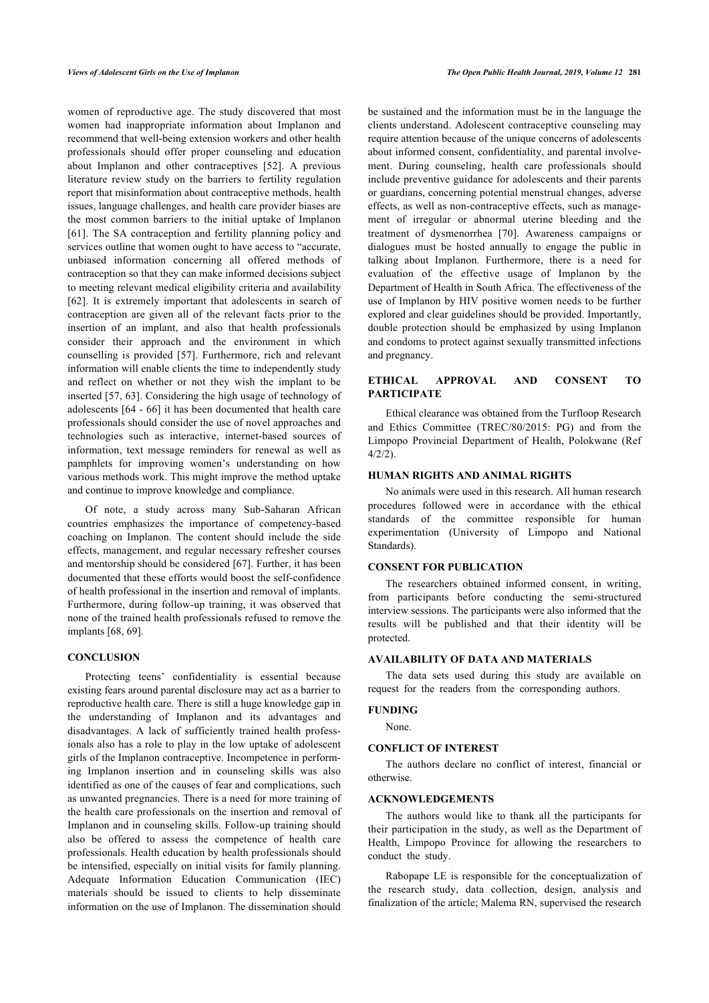women of reproductive age. The study discovered that most women had inappropriate information about Implanon and recommend that well-being extension workers and other health professionals should offer proper counseling and education about Implanon and other contraceptives [\[52](#page-7-10)]. A previous literature review study on the barriers to fertility regulation report that misinformation about contraceptive methods, health issues, language challenges, and health care provider biases are the most common barriers to the initial uptake of Implanon [[61\]](#page-7-19). The SA contraception and fertility planning policy and services outline that women ought to have access to "accurate, unbiased information concerning all offered methods of contraception so that they can make informed decisions subject to meeting relevant medical eligibility criteria and availability [[62\]](#page-7-20). It is extremely important that adolescents in search of contraception are given all of the relevant facts prior to the insertion of an implant, and also that health professionals consider their approach and the environment in which counselling is provided[[57](#page-7-15)]. Furthermore, rich and relevant information will enable clients the time to independently study and reflect on whether or not they wish the implant to be inserted [\[57](#page-7-15), [63](#page-7-21)]. Considering the high usage of technology of adolescents [\[64](#page-7-22) - [66](#page-7-23)] it has been documented that health care professionals should consider the use of novel approaches and technologies such as interactive, internet-based sources of information, text message reminders for renewal as well as pamphlets for improving women's understanding on how various methods work. This might improve the method uptake and continue to improve knowledge and compliance.

Of note, a study across many Sub-Saharan African countries emphasizes the importance of competency-based coaching on Implanon. The content should include the side effects, management, and regular necessary refresher courses and mentorship should be considered [[67\]](#page-7-24). Further, it has been documented that these efforts would boost the self-confidence of health professional in the insertion and removal of implants. Furthermore, during follow-up training, it was observed that none of the trained health professionals refused to remove the implants [[68,](#page-7-25) [69](#page-7-7)].

## **CONCLUSION**

Protecting teens' confidentiality is essential because existing fears around parental disclosure may act as a barrier to reproductive health care. There is still a huge knowledge gap in the understanding of Implanon and its advantages and disadvantages. A lack of sufficiently trained health professionals also has a role to play in the low uptake of adolescent girls of the Implanon contraceptive. Incompetence in performing Implanon insertion and in counseling skills was also identified as one of the causes of fear and complications, such as unwanted pregnancies. There is a need for more training of the health care professionals on the insertion and removal of Implanon and in counseling skills. Follow-up training should also be offered to assess the competence of health care professionals. Health education by health professionals should be intensified, especially on initial visits for family planning. Adequate Information Education Communication (IEC) materials should be issued to clients to help disseminate information on the use of Implanon. The dissemination should

be sustained and the information must be in the language the clients understand. Adolescent contraceptive counseling may require attention because of the unique concerns of adolescents about informed consent, confidentiality, and parental involvement. During counseling, health care professionals should include preventive guidance for adolescents and their parents or guardians, concerning potential menstrual changes, adverse effects, as well as non-contraceptive effects, such as management of irregular or abnormal uterine bleeding and the treatment of dysmenorrhea[[70\]](#page-7-8). Awareness campaigns or dialogues must be hosted annually to engage the public in talking about Implanon. Furthermore, there is a need for evaluation of the effective usage of Implanon by the Department of Health in South Africa. The effectiveness of the use of Implanon by HIV positive women needs to be further explored and clear guidelines should be provided. Importantly, double protection should be emphasized by using Implanon and condoms to protect against sexually transmitted infections and pregnancy.

## **ETHICAL APPROVAL AND CONSENT TO PARTICIPATE**

Ethical clearance was obtained from the Turfloop Research and Ethics Committee (TREC/80/2015: PG) and from the Limpopo Provincial Department of Health, Polokwane (Ref 4/2/2).

## **HUMAN RIGHTS AND ANIMAL RIGHTS**

No animals were used in this research. All human research procedures followed were in accordance with the ethical standards of the committee responsible for human experimentation (University of Limpopo and National Standards).

## **CONSENT FOR PUBLICATION**

The researchers obtained informed consent, in writing, from participants before conducting the semi-structured interview sessions. The participants were also informed that the results will be published and that their identity will be protected.

## **AVAILABILITY OF DATA AND MATERIALS**

The data sets used during this study are available on request for the readers from the corresponding authors.

## **FUNDING**

#### None.

#### **CONFLICT OF INTEREST**

The authors declare no conflict of interest, financial or otherwise.

## **ACKNOWLEDGEMENTS**

The authors would like to thank all the participants for their participation in the study, as well as the Department of Health, Limpopo Province for allowing the researchers to conduct the study.

Rabopape LE is responsible for the conceptualization of the research study, data collection, design, analysis and finalization of the article; Malema RN, supervised the research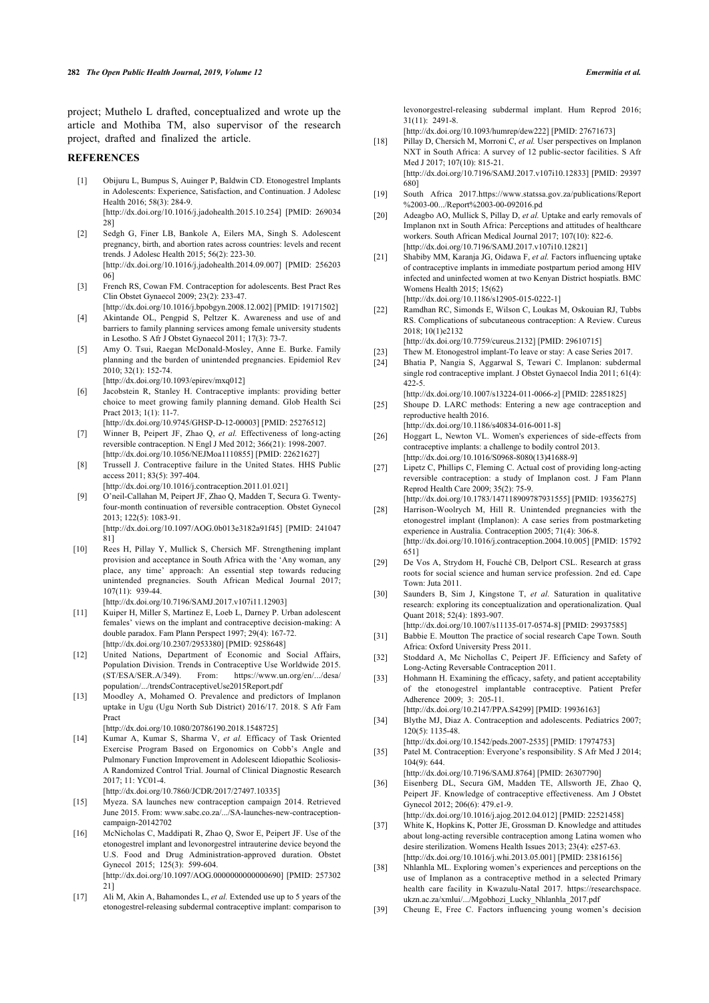project; Muthelo L drafted, conceptualized and wrote up the article and Mothiba TM, also supervisor of the research project, drafted and finalized the article.

#### <span id="page-6-16"></span><span id="page-6-15"></span><span id="page-6-0"></span>**REFERENCES**

- [1] Obijuru L, Bumpus S, Auinger P, Baldwin CD. Etonogestrel Implants in Adolescents: Experience, Satisfaction, and Continuation. J Adolesc Health 2016; 58(3): 284-9. [\[http://dx.doi.org/10.1016/j.jadohealth.2015.10.254](http://dx.doi.org/10.1016/j.jadohealth.2015.10.254)] [PMID: [269034](http://www.ncbi.nlm.nih.gov/pubmed/269034%2028) [28\]](http://www.ncbi.nlm.nih.gov/pubmed/269034%2028)
- <span id="page-6-18"></span><span id="page-6-17"></span><span id="page-6-1"></span>[2] Sedgh G, Finer LB, Bankole A, Eilers MA, Singh S. Adolescent pregnancy, birth, and abortion rates across countries: levels and recent trends. J Adolesc Health 2015; 56(2): 223-30. [\[http://dx.doi.org/10.1016/j.jadohealth.2014.09.007](http://dx.doi.org/10.1016/j.jadohealth.2014.09.007)] [PMID: [256203](http://www.ncbi.nlm.nih.gov/pubmed/256203%2006) [06\]](http://www.ncbi.nlm.nih.gov/pubmed/256203%2006)
- <span id="page-6-2"></span>[3] French RS, Cowan FM. Contraception for adolescents. Best Pract Res Clin Obstet Gynaecol 2009; 23(2): 233-47.
- <span id="page-6-19"></span>[\[http://dx.doi.org/10.1016/j.bpobgyn.2008.12.002](http://dx.doi.org/10.1016/j.bpobgyn.2008.12.002)] [PMID: [19171502\]](http://www.ncbi.nlm.nih.gov/pubmed/19171502) [4] Akintande OL, Pengpid S, Peltzer K. Awareness and use of and barriers to family planning services among female university students in Lesotho. S Afr J Obstet Gynaecol 2011; 17(3): 73-7.
- <span id="page-6-20"></span><span id="page-6-3"></span>[5] Amy O. Tsui, Raegan McDonald-Mosley, Anne E. Burke. Family planning and the burden of unintended pregnancies. Epidemiol Rev 2010; 32(1): 152-74.
- [\[http://dx.doi.org/10.1093/epirev/mxq012\]](http://dx.doi.org/10.1093/epirev/mxq012)
- <span id="page-6-21"></span><span id="page-6-4"></span>[6] Jacobstein R, Stanley H. Contraceptive implants: providing better choice to meet growing family planning demand. Glob Health Sci Pract 2013; 1(1): 11-7.
- <span id="page-6-22"></span><span id="page-6-5"></span>[\[http://dx.doi.org/10.9745/GHSP-D-12-00003\]](http://dx.doi.org/10.9745/GHSP-D-12-00003) [PMID: [25276512](http://www.ncbi.nlm.nih.gov/pubmed/25276512)] [7] Winner B, Peipert JF, Zhao Q, *et al.* Effectiveness of long-acting reversible contraception. N Engl J Med 2012; 366(21): 1998-2007. [\[http://dx.doi.org/10.1056/NEJMoa1110855\]](http://dx.doi.org/10.1056/NEJMoa1110855) [PMID: [22621627](http://www.ncbi.nlm.nih.gov/pubmed/22621627)]
- <span id="page-6-23"></span><span id="page-6-6"></span>[8] Trussell J. Contraceptive failure in the United States. HHS Public access 2011; 83(5): 397-404.
- <span id="page-6-24"></span><span id="page-6-7"></span>[\[http://dx.doi.org/10.1016/j.contraception.2011.01.021\]](http://dx.doi.org/10.1016/j.contraception.2011.01.021) [9] O'neil-Callahan M, Peipert JF, Zhao Q, Madden T, Secura G. Twentyfour-month continuation of reversible contraception. Obstet Gynecol 2013; 122(5): 1083-91. [\[http://dx.doi.org/10.1097/AOG.0b013e3182a91f45\]](http://dx.doi.org/10.1097/AOG.0b013e3182a91f45) [PMID: [241047](http://www.ncbi.nlm.nih.gov/pubmed/241047%2081)

 $811$ 

<span id="page-6-25"></span><span id="page-6-8"></span>[10] Rees H, Pillay Y, Mullick S, Chersich MF. Strengthening implant provision and acceptance in South Africa with the 'Any woman, any place, any time' approach: An essential step towards reducing unintended pregnancies. South African Medical Journal 2017; 107(11): 939-44.

[\[http://dx.doi.org/10.7196/SAMJ.2017.v107i11.12903\]](http://dx.doi.org/10.7196/SAMJ.2017.v107i11.12903)

- <span id="page-6-26"></span><span id="page-6-9"></span>[11] Kuiper H, Miller S, Martinez E, Loeb L, Darney P. Urban adolescent females' views on the implant and contraceptive decision-making: A double paradox. Fam Plann Perspect 1997; 29(4): 167-72. [\[http://dx.doi.org/10.2307/2953380\]](http://dx.doi.org/10.2307/2953380) [PMID: [9258648\]](http://www.ncbi.nlm.nih.gov/pubmed/9258648)
- <span id="page-6-28"></span><span id="page-6-27"></span><span id="page-6-10"></span>[12] United Nations, Department of Economic and Social Affairs, Population Division. Trends in Contraceptive Use Worldwide 2015. (ST/ESA/SER.A/349). From: [https://www.un.org/en/.../desa/](https://www.un.org/en/.../desa/population/.../trendsContraceptiveUse2015Report.pdf) [population/.../trendsContraceptiveUse2015Report.pdf](https://www.un.org/en/.../desa/population/.../trendsContraceptiveUse2015Report.pdf)
- [13] Moodley A, Mohamed O. Prevalence and predictors of Implanon uptake in Ugu (Ugu North Sub District) 2016/17. 2018. S Afr Fam Pract

[\[http://dx.doi.org/10.1080/20786190.2018.1548725](http://dx.doi.org/10.1080/20786190.2018.1548725)]

<span id="page-6-30"></span><span id="page-6-29"></span><span id="page-6-11"></span>[14] Kumar A, Kumar S, Sharma V, *et al.* Efficacy of Task Oriented Exercise Program Based on Ergonomics on Cobb's Angle and Pulmonary Function Improvement in Adolescent Idiopathic Scoliosis-A Randomized Control Trial. Journal of Clinical Diagnostic Research 2017; 11: YC01-4.

[\[http://dx.doi.org/10.7860/JCDR/2017/27497.10335\]](http://dx.doi.org/10.7860/JCDR/2017/27497.10335)

- <span id="page-6-31"></span><span id="page-6-12"></span>[15] Myeza. SA launches new contraception campaign 2014. Retrieved June 2015. From: [www.sabc.co.za/.../SA-launches-new-contraception](http://www.sabc.co.za/.../SA-launches-new-contraception-campaign-20142702)[campaign-20142702](http://www.sabc.co.za/.../SA-launches-new-contraception-campaign-20142702)
- <span id="page-6-32"></span><span id="page-6-13"></span>[16] McNicholas C, Maddipati R, Zhao O, Swor E, Peipert JF. Use of the etonogestrel implant and levonorgestrel intrauterine device beyond the U.S. Food and Drug Administration-approved duration. Obstet Gynecol 2015; 125(3): 599-604. [\[http://dx.doi.org/10.1097/AOG.0000000000000690\]](http://dx.doi.org/10.1097/AOG.0000000000000690) [PMID: [257302](http://www.ncbi.nlm.nih.gov/pubmed/257302%2021) [21\]](http://www.ncbi.nlm.nih.gov/pubmed/257302%2021)
- <span id="page-6-33"></span><span id="page-6-14"></span>[17] Ali M, Akin A, Bahamondes L, *et al.* Extended use up to 5 years of the etonogestrel-releasing subdermal contraceptive implant: comparison to

levonorgestrel-releasing subdermal implant. Hum Reprod 2016; 31(11): 2491-8.

[\[http://dx.doi.org/10.1093/humrep/dew222\]](http://dx.doi.org/10.1093/humrep/dew222) [PMID: [27671673\]](http://www.ncbi.nlm.nih.gov/pubmed/27671673)

- [18] Pillay D, Chersich M, Morroni C, *et al.* User perspectives on Implanon NXT in South Africa: A survey of 12 public-sector facilities. S Afr Med J 2017; 107(10): 815-21. [\[http://dx.doi.org/10.7196/SAMJ.2017.v107i10.12833](http://dx.doi.org/10.7196/SAMJ.2017.v107i10.12833)] [PMID: [29397](http://www.ncbi.nlm.nih.gov/pubmed/29397%20680) [680](http://www.ncbi.nlm.nih.gov/pubmed/29397%20680)]
- [19] South Africa 2017.[https://www.statssa.gov.za/publications/Report](https://www.statssa.gov.za/publications/Report%2003-00.../Report%2003-00-092016.pd) [%2003-00.../Report%2003-00-092016.pd](https://www.statssa.gov.za/publications/Report%2003-00.../Report%2003-00-092016.pd)
- [20] Adeagbo AO, Mullick S, Pillay D, *et al.* Uptake and early removals of Implanon nxt in South Africa: Perceptions and attitudes of healthcare workers. South African Medical Journal 2017; 107(10): 822-6. [\[http://dx.doi.org/10.7196/SAMJ.2017.v107i10.12821](http://dx.doi.org/10.7196/SAMJ.2017.v107i10.12821)]
- [21] Shabiby MM, Karanja JG, Oidawa F, *et al.* Factors influencing uptake of contraceptive implants in immediate postpartum period among HIV infected and uninfected women at two Kenyan District hospiatls. BMC Womens Health 2015; 15(62) [\[http://dx.doi.org/10.1186/s12905-015-0222-1\]](http://dx.doi.org/10.1186/s12905-015-0222-1)
- [22] Ramdhan RC, Simonds E, Wilson C, Loukas M, Oskouian RJ, Tubbs RS. Complications of subcutaneous contraception: A Review. Cureus 2018; 10(1)e2132 [\[http://dx.doi.org/10.7759/cureus.2132](http://dx.doi.org/10.7759/cureus.2132)] [PMID: [29610715](http://www.ncbi.nlm.nih.gov/pubmed/29610715)]
- [23] Thew M. Etonogestrol implant-To leave or stay: A case Series 2017.
- [24] Bhatia P, Nangia S, Aggarwal S, Tewari C. Implanon: subdermal single rod contraceptive implant. J Obstet Gynaecol India 2011; 61(4): 422-5.

[\[http://dx.doi.org/10.1007/s13224-011-0066-z](http://dx.doi.org/10.1007/s13224-011-0066-z)] [PMID: [22851825\]](http://www.ncbi.nlm.nih.gov/pubmed/22851825)

[25] Shoupe D. LARC methods: Entering a new age contraception and reproductive health 2016.

[\[http://dx.doi.org/10.1186/s40834-016-0011-8\]](http://dx.doi.org/10.1186/s40834-016-0011-8)

- [26] Hoggart L, Newton VL. Women's experiences of side-effects from contraceptive implants: a challenge to bodily control 2013. [\[http://dx.doi.org/10.1016/S0968-8080\(13\)41688-9\]](http://dx.doi.org/10.1016/S0968-8080(13)41688-9)
- [27] Lipetz C, Phillips C, Fleming C. Actual cost of providing long-acting reversible contraception: a study of Implanon cost. J Fam Plann Reprod Health Care 2009; 35(2): 75-9. [\[http://dx.doi.org/10.1783/147118909787931555](http://dx.doi.org/10.1783/147118909787931555)] [PMID: [19356275](http://www.ncbi.nlm.nih.gov/pubmed/19356275)]
- [28] Harrison-Woolrych M, Hill R. Unintended pregnancies with the etonogestrel implant (Implanon): A case series from postmarketing experience in Australia. Contraception 2005; 71(4): 306-8. [\[http://dx.doi.org/10.1016/j.contraception.2004.10.005\]](http://dx.doi.org/10.1016/j.contraception.2004.10.005) [PMID: [15792](http://www.ncbi.nlm.nih.gov/pubmed/15792%20651)  $6511$  $6511$
- [29] De Vos A, Strydom H, Fouché CB, Delport CSL. Research at grass roots for social science and human service profession. 2nd ed. Cape Town: Juta 2011.
- [30] Saunders B, Sim J, Kingstone T, *et al.* Saturation in qualitative research: exploring its conceptualization and operationalization. Qual Quant 2018; 52(4): 1893-907.
- [\[http://dx.doi.org/10.1007/s11135-017-0574-8\]](http://dx.doi.org/10.1007/s11135-017-0574-8) [PMID: [29937585](http://www.ncbi.nlm.nih.gov/pubmed/29937585)] [31] Babbie E. Moutton The practice of social research Cape Town. South Africa: Oxford University Press 2011.
- [32] Stoddard A, Mc Nichollas C, Peipert JF. Efficiency and Safety of Long-Acting Reversable Contraception 2011.
- [33] Hohmann H. Examining the efficacy, safety, and patient acceptability of the etonogestrel implantable contraceptive. Patient Prefer Adherence 2009; 3: 205-11. [\[http://dx.doi.org/10.2147/PPA.S4299\]](http://dx.doi.org/10.2147/PPA.S4299) [PMID: [19936163\]](http://www.ncbi.nlm.nih.gov/pubmed/19936163)
- [34] Blythe MJ, Diaz A. Contraception and adolescents. Pediatrics 2007; 120(5): 1135-48.
- [\[http://dx.doi.org/10.1542/peds.2007-2535](http://dx.doi.org/10.1542/peds.2007-2535)] [PMID: [17974753\]](http://www.ncbi.nlm.nih.gov/pubmed/17974753) [35] Patel M. Contraception: Everyone's responsibility. S Afr Med J 2014;
- 104(9): 644. [\[http://dx.doi.org/10.7196/SAMJ.8764](http://dx.doi.org/10.7196/SAMJ.8764)] [PMID: [26307790\]](http://www.ncbi.nlm.nih.gov/pubmed/26307790)
- [36] Eisenberg DL, Secura GM, Madden TE, Allsworth JE, Zhao Q, Peipert JF. Knowledge of contraceptive effectiveness. Am J Obstet Gynecol 2012; 206(6): 479.e1-9.
- [\[http://dx.doi.org/10.1016/j.ajog.2012.04.012\]](http://dx.doi.org/10.1016/j.ajog.2012.04.012) [PMID: [22521458\]](http://www.ncbi.nlm.nih.gov/pubmed/22521458) [37] White K, Hopkins K, Potter JE, Grossman D. Knowledge and attitudes
- about long-acting reversible contraception among Latina women who desire sterilization. Womens Health Issues 2013; 23(4): e257-63. [\[http://dx.doi.org/10.1016/j.whi.2013.05.001](http://dx.doi.org/10.1016/j.whi.2013.05.001)] [PMID: [23816156](http://www.ncbi.nlm.nih.gov/pubmed/23816156)]
- [38] Nhlanhla ML. Exploring women's experiences and perceptions on the use of Implanon as a contraceptive method in a selected Primary health care facility in Kwazulu-Natal 2017. [https://researchspace.](https://researchspace.ukzn.ac.za/xmlui/.../Mgobhozi_Lucky_Nhlanhla_2017.pdf) [ukzn.ac.za/xmlui/.../Mgobhozi\\_Lucky\\_Nhlanhla\\_2017.pdf](https://researchspace.ukzn.ac.za/xmlui/.../Mgobhozi_Lucky_Nhlanhla_2017.pdf)
- [39] Cheung E, Free C. Factors influencing young women's decision